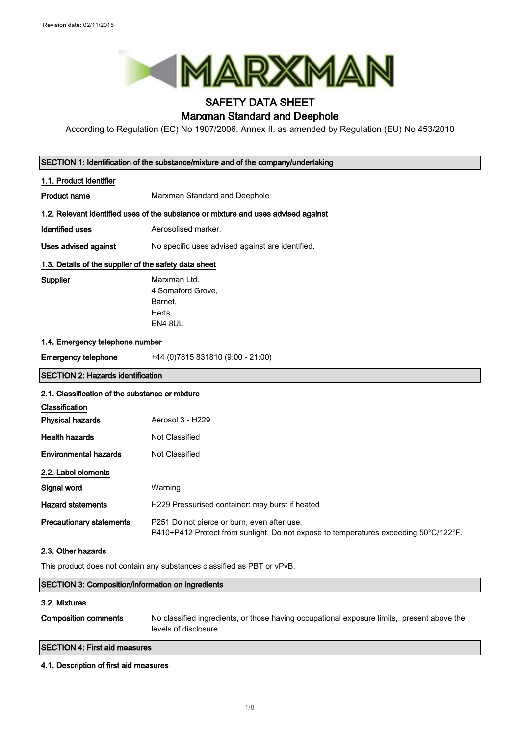

### SAFETY DATA SHEET Marxman Standard and Deephole

According to Regulation (EC) No 1907/2006, Annex II, as amended by Regulation (EU) No 453/2010

|                                                                         | SECTION 1: Identification of the substance/mixture and of the company/undertaking                                                   |  |
|-------------------------------------------------------------------------|-------------------------------------------------------------------------------------------------------------------------------------|--|
| 1.1. Product identifier                                                 |                                                                                                                                     |  |
| Product name                                                            | Marxman Standard and Deephole                                                                                                       |  |
|                                                                         | 1.2. Relevant identified uses of the substance or mixture and uses advised against                                                  |  |
| <b>Identified uses</b>                                                  | Aerosolised marker.                                                                                                                 |  |
| Uses advised against                                                    | No specific uses advised against are identified.                                                                                    |  |
| 1.3. Details of the supplier of the safety data sheet                   |                                                                                                                                     |  |
| Supplier                                                                | Marxman Ltd.<br>4 Somaford Grove,<br>Barnet.<br>Herts<br>EN4 8UL                                                                    |  |
| 1.4. Emergency telephone number                                         |                                                                                                                                     |  |
| <b>Emergency telephone</b>                                              | +44 (0) 7815 831810 (9:00 - 21:00)                                                                                                  |  |
| <b>SECTION 2: Hazards identification</b>                                |                                                                                                                                     |  |
| 2.1. Classification of the substance or mixture                         |                                                                                                                                     |  |
| Classification                                                          |                                                                                                                                     |  |
| <b>Physical hazards</b>                                                 | Aerosol 3 - H229                                                                                                                    |  |
| <b>Health hazards</b>                                                   | <b>Not Classified</b>                                                                                                               |  |
| <b>Environmental hazards</b>                                            | Not Classified                                                                                                                      |  |
| 2.2. Label elements                                                     |                                                                                                                                     |  |
| Signal word                                                             | Warning                                                                                                                             |  |
| <b>Hazard statements</b>                                                | H229 Pressurised container: may burst if heated                                                                                     |  |
| <b>Precautionary statements</b>                                         | P251 Do not pierce or burn, even after use.<br>P410+P412 Protect from sunlight. Do not expose to temperatures exceeding 50°C/122°F. |  |
| 2.3. Other hazards                                                      |                                                                                                                                     |  |
| This product does not contain any substances classified as PBT or vPvB. |                                                                                                                                     |  |
| SECTION 3: Composition/information on ingredients                       |                                                                                                                                     |  |
| 3.2. Mixtures                                                           |                                                                                                                                     |  |
| <b>Composition comments</b>                                             | No classified ingredients, or those having occupational exposure limits, present above the<br>levels of disclosure.                 |  |
| <b>SECTION 4: First aid measures</b>                                    |                                                                                                                                     |  |

### 4.1. Description of first aid measures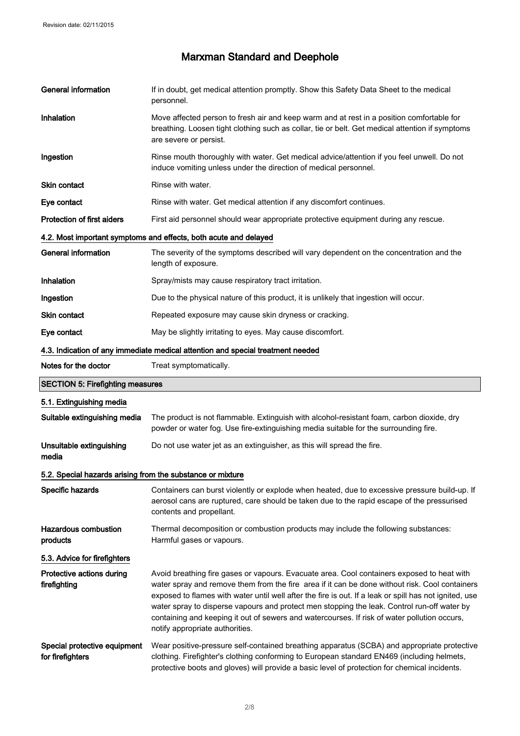| <b>General information</b>                                 | If in doubt, get medical attention promptly. Show this Safety Data Sheet to the medical<br>personnel.                                                                                                                                                                                                                                                                                                                                                                                                                                    |  |
|------------------------------------------------------------|------------------------------------------------------------------------------------------------------------------------------------------------------------------------------------------------------------------------------------------------------------------------------------------------------------------------------------------------------------------------------------------------------------------------------------------------------------------------------------------------------------------------------------------|--|
| Inhalation                                                 | Move affected person to fresh air and keep warm and at rest in a position comfortable for<br>breathing. Loosen tight clothing such as collar, tie or belt. Get medical attention if symptoms<br>are severe or persist.                                                                                                                                                                                                                                                                                                                   |  |
| Ingestion                                                  | Rinse mouth thoroughly with water. Get medical advice/attention if you feel unwell. Do not<br>induce vomiting unless under the direction of medical personnel.                                                                                                                                                                                                                                                                                                                                                                           |  |
| Skin contact                                               | Rinse with water.                                                                                                                                                                                                                                                                                                                                                                                                                                                                                                                        |  |
| Eye contact                                                | Rinse with water. Get medical attention if any discomfort continues.                                                                                                                                                                                                                                                                                                                                                                                                                                                                     |  |
| <b>Protection of first aiders</b>                          | First aid personnel should wear appropriate protective equipment during any rescue.                                                                                                                                                                                                                                                                                                                                                                                                                                                      |  |
|                                                            | 4.2. Most important symptoms and effects, both acute and delayed                                                                                                                                                                                                                                                                                                                                                                                                                                                                         |  |
| <b>General information</b>                                 | The severity of the symptoms described will vary dependent on the concentration and the<br>length of exposure.                                                                                                                                                                                                                                                                                                                                                                                                                           |  |
| Inhalation                                                 | Spray/mists may cause respiratory tract irritation.                                                                                                                                                                                                                                                                                                                                                                                                                                                                                      |  |
| Ingestion                                                  | Due to the physical nature of this product, it is unlikely that ingestion will occur.                                                                                                                                                                                                                                                                                                                                                                                                                                                    |  |
| Skin contact                                               | Repeated exposure may cause skin dryness or cracking.                                                                                                                                                                                                                                                                                                                                                                                                                                                                                    |  |
| Eye contact                                                | May be slightly irritating to eyes. May cause discomfort.                                                                                                                                                                                                                                                                                                                                                                                                                                                                                |  |
|                                                            | 4.3. Indication of any immediate medical attention and special treatment needed                                                                                                                                                                                                                                                                                                                                                                                                                                                          |  |
| Notes for the doctor                                       | Treat symptomatically.                                                                                                                                                                                                                                                                                                                                                                                                                                                                                                                   |  |
| <b>SECTION 5: Firefighting measures</b>                    |                                                                                                                                                                                                                                                                                                                                                                                                                                                                                                                                          |  |
| 5.1. Extinguishing media                                   |                                                                                                                                                                                                                                                                                                                                                                                                                                                                                                                                          |  |
| Suitable extinguishing media                               | The product is not flammable. Extinguish with alcohol-resistant foam, carbon dioxide, dry<br>powder or water fog. Use fire-extinguishing media suitable for the surrounding fire.                                                                                                                                                                                                                                                                                                                                                        |  |
| Unsuitable extinguishing<br>media                          | Do not use water jet as an extinguisher, as this will spread the fire.                                                                                                                                                                                                                                                                                                                                                                                                                                                                   |  |
| 5.2. Special hazards arising from the substance or mixture |                                                                                                                                                                                                                                                                                                                                                                                                                                                                                                                                          |  |
| Specific hazards                                           | Containers can burst violently or explode when heated, due to excessive pressure build-up. If<br>aerosol cans are ruptured, care should be taken due to the rapid escape of the pressurised<br>contents and propellant.                                                                                                                                                                                                                                                                                                                  |  |
| <b>Hazardous combustion</b><br>products                    | Thermal decomposition or combustion products may include the following substances:<br>Harmful gases or vapours.                                                                                                                                                                                                                                                                                                                                                                                                                          |  |
| 5.3. Advice for firefighters                               |                                                                                                                                                                                                                                                                                                                                                                                                                                                                                                                                          |  |
| Protective actions during<br>firefighting                  | Avoid breathing fire gases or vapours. Evacuate area. Cool containers exposed to heat with<br>water spray and remove them from the fire area if it can be done without risk. Cool containers<br>exposed to flames with water until well after the fire is out. If a leak or spill has not ignited, use<br>water spray to disperse vapours and protect men stopping the leak. Control run-off water by<br>containing and keeping it out of sewers and watercourses. If risk of water pollution occurs,<br>notify appropriate authorities. |  |
| Special protective equipment<br>for firefighters           | Wear positive-pressure self-contained breathing apparatus (SCBA) and appropriate protective<br>clothing. Firefighter's clothing conforming to European standard EN469 (including helmets,<br>protective boots and gloves) will provide a basic level of protection for chemical incidents.                                                                                                                                                                                                                                               |  |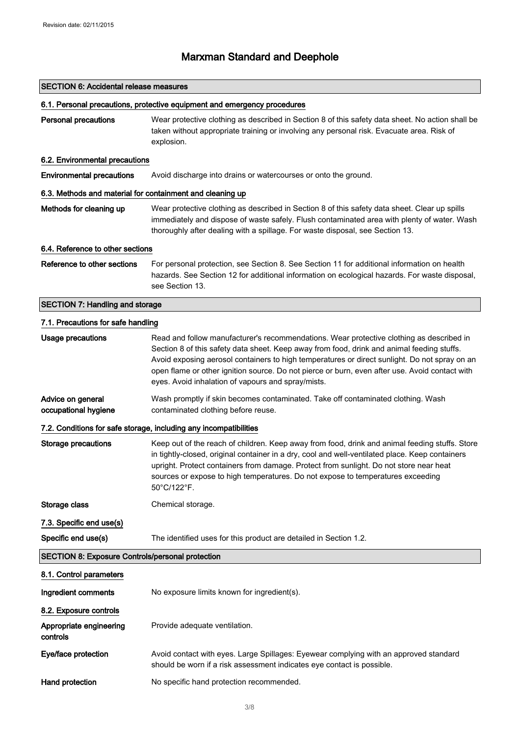### SECTION 6: Accidental release measures

### 6.1. Personal precautions, protective equipment and emergency procedures

Personal precautions Wear protective clothing as described in Section 8 of this safety data sheet. No action shall be taken without appropriate training or involving any personal risk. Evacuate area. Risk of explosion.

### 6.2. Environmental precautions

Environmental precautions Avoid discharge into drains or watercourses or onto the ground.

#### 6.3. Methods and material for containment and cleaning up

Methods for cleaning up Wear protective clothing as described in Section 8 of this safety data sheet. Clear up spills immediately and dispose of waste safely. Flush contaminated area with plenty of water. Wash thoroughly after dealing with a spillage. For waste disposal, see Section 13.

#### 6.4. Reference to other sections

Reference to other sections For personal protection, see Section 8. See Section 11 for additional information on health hazards. See Section 12 for additional information on ecological hazards. For waste disposal, see Section 13.

### SECTION 7: Handling and storage

| 7.1. Precautions for safe handling                      |                                                                                                                                                                                                                                                                                                                                                                                                                                                 |  |
|---------------------------------------------------------|-------------------------------------------------------------------------------------------------------------------------------------------------------------------------------------------------------------------------------------------------------------------------------------------------------------------------------------------------------------------------------------------------------------------------------------------------|--|
| <b>Usage precautions</b>                                | Read and follow manufacturer's recommendations. Wear protective clothing as described in<br>Section 8 of this safety data sheet. Keep away from food, drink and animal feeding stuffs.<br>Avoid exposing aerosol containers to high temperatures or direct sunlight. Do not spray on an<br>open flame or other ignition source. Do not pierce or burn, even after use. Avoid contact with<br>eyes. Avoid inhalation of vapours and spray/mists. |  |
| Advice on general<br>occupational hygiene               | Wash promptly if skin becomes contaminated. Take off contaminated clothing. Wash<br>contaminated clothing before reuse.                                                                                                                                                                                                                                                                                                                         |  |
|                                                         | 7.2. Conditions for safe storage, including any incompatibilities                                                                                                                                                                                                                                                                                                                                                                               |  |
| <b>Storage precautions</b>                              | Keep out of the reach of children. Keep away from food, drink and animal feeding stuffs. Store<br>in tightly-closed, original container in a dry, cool and well-ventilated place. Keep containers<br>upright. Protect containers from damage. Protect from sunlight. Do not store near heat<br>sources or expose to high temperatures. Do not expose to temperatures exceeding<br>50°C/122°F.                                                   |  |
| Storage class                                           | Chemical storage.                                                                                                                                                                                                                                                                                                                                                                                                                               |  |
| 7.3. Specific end use(s)                                |                                                                                                                                                                                                                                                                                                                                                                                                                                                 |  |
| Specific end use(s)                                     | The identified uses for this product are detailed in Section 1.2.                                                                                                                                                                                                                                                                                                                                                                               |  |
| <b>SECTION 8: Exposure Controls/personal protection</b> |                                                                                                                                                                                                                                                                                                                                                                                                                                                 |  |
| 8.1. Control parameters                                 |                                                                                                                                                                                                                                                                                                                                                                                                                                                 |  |
| Ingredient comments                                     | No exposure limits known for ingredient(s).                                                                                                                                                                                                                                                                                                                                                                                                     |  |
| 8.2. Exposure controls                                  |                                                                                                                                                                                                                                                                                                                                                                                                                                                 |  |
| Appropriate engineering<br>controls                     | Provide adequate ventilation.                                                                                                                                                                                                                                                                                                                                                                                                                   |  |
| Eye/face protection                                     | Avoid contact with eyes. Large Spillages: Eyewear complying with an approved standard<br>should be worn if a risk assessment indicates eye contact is possible.                                                                                                                                                                                                                                                                                 |  |
| Hand protection                                         | No specific hand protection recommended.                                                                                                                                                                                                                                                                                                                                                                                                        |  |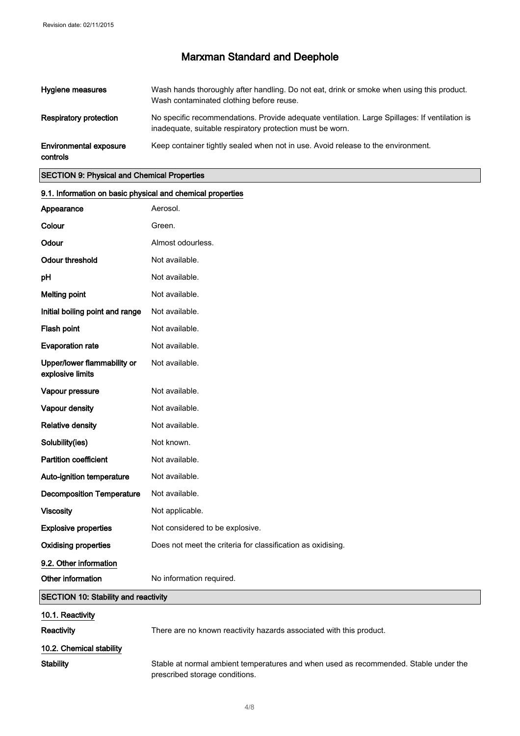| Hygiene measures                   | Wash hands thoroughly after handling. Do not eat, drink or smoke when using this product.<br>Wash contaminated clothing before reuse.                      |
|------------------------------------|------------------------------------------------------------------------------------------------------------------------------------------------------------|
| Respiratory protection             | No specific recommendations. Provide adequate ventilation. Large Spillages: If ventilation is<br>inadequate, suitable respiratory protection must be worn. |
| Environmental exposure<br>controls | Keep container tightly sealed when not in use. Avoid release to the environment.                                                                           |

### SECTION 9: Physical and Chemical Properties

| 9.1. Information on basic physical and chemical properties |                                                                                                                        |  |
|------------------------------------------------------------|------------------------------------------------------------------------------------------------------------------------|--|
| Appearance                                                 | Aerosol.                                                                                                               |  |
| Colour                                                     | Green.                                                                                                                 |  |
| Odour                                                      | Almost odourless.                                                                                                      |  |
| <b>Odour threshold</b>                                     | Not available.                                                                                                         |  |
| pH                                                         | Not available.                                                                                                         |  |
| <b>Melting point</b>                                       | Not available.                                                                                                         |  |
| Initial boiling point and range                            | Not available.                                                                                                         |  |
| Flash point                                                | Not available.                                                                                                         |  |
| <b>Evaporation rate</b>                                    | Not available.                                                                                                         |  |
| Upper/lower flammability or<br>explosive limits            | Not available.                                                                                                         |  |
| Vapour pressure                                            | Not available.                                                                                                         |  |
| Vapour density                                             | Not available.                                                                                                         |  |
| <b>Relative density</b>                                    | Not available.                                                                                                         |  |
| Solubility(ies)                                            | Not known.                                                                                                             |  |
| <b>Partition coefficient</b>                               | Not available.                                                                                                         |  |
| Auto-ignition temperature                                  | Not available.                                                                                                         |  |
| <b>Decomposition Temperature</b>                           | Not available.                                                                                                         |  |
| <b>Viscosity</b>                                           | Not applicable.                                                                                                        |  |
| <b>Explosive properties</b>                                | Not considered to be explosive.                                                                                        |  |
| <b>Oxidising properties</b>                                | Does not meet the criteria for classification as oxidising.                                                            |  |
| 9.2. Other information                                     |                                                                                                                        |  |
| Other information                                          | No information required.                                                                                               |  |
| <b>SECTION 10: Stability and reactivity</b>                |                                                                                                                        |  |
| 10.1. Reactivity                                           |                                                                                                                        |  |
| Reactivity                                                 | There are no known reactivity hazards associated with this product.                                                    |  |
| 10.2. Chemical stability                                   |                                                                                                                        |  |
| <b>Stability</b>                                           | Stable at normal ambient temperatures and when used as recommended. Stable under the<br>prescribed storage conditions. |  |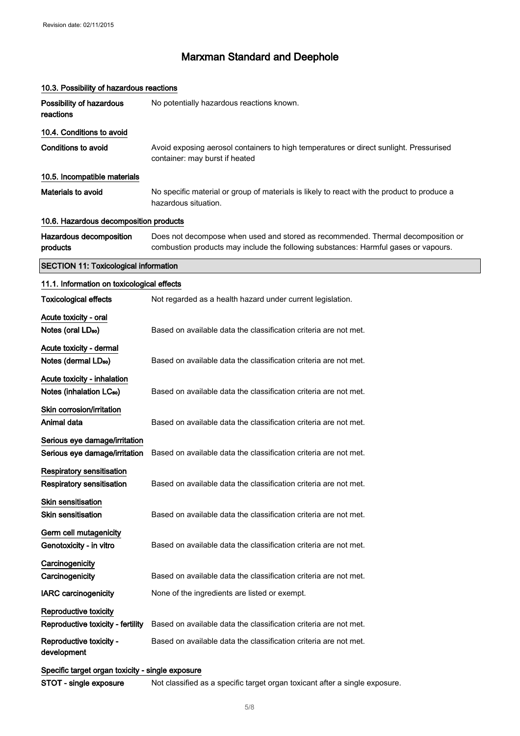| 10.3. Possibility of hazardous reactions                             |                                                                                                                                                                         |  |
|----------------------------------------------------------------------|-------------------------------------------------------------------------------------------------------------------------------------------------------------------------|--|
| Possibility of hazardous<br>reactions                                | No potentially hazardous reactions known.                                                                                                                               |  |
| 10.4. Conditions to avoid                                            |                                                                                                                                                                         |  |
| <b>Conditions to avoid</b>                                           | Avoid exposing aerosol containers to high temperatures or direct sunlight. Pressurised<br>container: may burst if heated                                                |  |
| 10.5. Incompatible materials                                         |                                                                                                                                                                         |  |
| Materials to avoid                                                   | No specific material or group of materials is likely to react with the product to produce a<br>hazardous situation.                                                     |  |
| 10.6. Hazardous decomposition products                               |                                                                                                                                                                         |  |
| Hazardous decomposition<br>products                                  | Does not decompose when used and stored as recommended. Thermal decomposition or<br>combustion products may include the following substances: Harmful gases or vapours. |  |
| <b>SECTION 11: Toxicological information</b>                         |                                                                                                                                                                         |  |
| 11.1. Information on toxicological effects                           |                                                                                                                                                                         |  |
| <b>Toxicological effects</b>                                         | Not regarded as a health hazard under current legislation.                                                                                                              |  |
| Acute toxicity - oral                                                |                                                                                                                                                                         |  |
| Notes (oral LD <sub>50</sub> )                                       | Based on available data the classification criteria are not met.                                                                                                        |  |
| Acute toxicity - dermal                                              |                                                                                                                                                                         |  |
| Notes (dermal LD <sub>50</sub> )                                     | Based on available data the classification criteria are not met.                                                                                                        |  |
| Acute toxicity - inhalation                                          |                                                                                                                                                                         |  |
| Notes (inhalation LC <sub>50</sub> )                                 | Based on available data the classification criteria are not met.                                                                                                        |  |
| Skin corrosion/irritation                                            |                                                                                                                                                                         |  |
| Animal data                                                          | Based on available data the classification criteria are not met.                                                                                                        |  |
| Serious eye damage/irritation<br>Serious eye damage/irritation       | Based on available data the classification criteria are not met.                                                                                                        |  |
| <b>Respiratory sensitisation</b><br><b>Respiratory sensitisation</b> | Based on available data the classification criteria are not met.                                                                                                        |  |
| Skin sensitisation<br><b>Skin sensitisation</b>                      | Based on available data the classification criteria are not met.                                                                                                        |  |
| Germ cell mutagenicity<br>Genotoxicity - in vitro                    | Based on available data the classification criteria are not met.                                                                                                        |  |
| Carcinogenicity<br>Carcinogenicity                                   | Based on available data the classification criteria are not met.                                                                                                        |  |
| <b>IARC</b> carcinogenicity                                          | None of the ingredients are listed or exempt.                                                                                                                           |  |
| Reproductive toxicity<br>Reproductive toxicity - fertility           | Based on available data the classification criteria are not met.                                                                                                        |  |
| Reproductive toxicity -<br>development                               | Based on available data the classification criteria are not met.                                                                                                        |  |
| Specific target organ toxicity - single exposure                     |                                                                                                                                                                         |  |
| STOT - single exposure                                               | Not classified as a specific target organ toxicant after a single exposure.                                                                                             |  |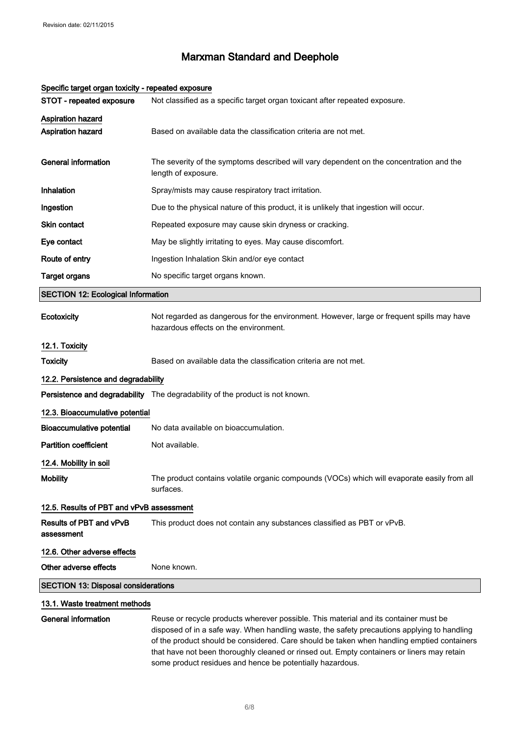| Specific target organ toxicity - repeated exposure |                                                                                                                                                                                                                                                                                   |  |
|----------------------------------------------------|-----------------------------------------------------------------------------------------------------------------------------------------------------------------------------------------------------------------------------------------------------------------------------------|--|
| STOT - repeated exposure                           | Not classified as a specific target organ toxicant after repeated exposure.                                                                                                                                                                                                       |  |
| <b>Aspiration hazard</b><br>Aspiration hazard      | Based on available data the classification criteria are not met.                                                                                                                                                                                                                  |  |
| <b>General information</b>                         | The severity of the symptoms described will vary dependent on the concentration and the<br>length of exposure.                                                                                                                                                                    |  |
| Inhalation                                         | Spray/mists may cause respiratory tract irritation.                                                                                                                                                                                                                               |  |
| Ingestion                                          | Due to the physical nature of this product, it is unlikely that ingestion will occur.                                                                                                                                                                                             |  |
| <b>Skin contact</b>                                | Repeated exposure may cause skin dryness or cracking.                                                                                                                                                                                                                             |  |
| Eye contact                                        | May be slightly irritating to eyes. May cause discomfort.                                                                                                                                                                                                                         |  |
| Route of entry                                     | Ingestion Inhalation Skin and/or eye contact                                                                                                                                                                                                                                      |  |
| <b>Target organs</b>                               | No specific target organs known.                                                                                                                                                                                                                                                  |  |
| <b>SECTION 12: Ecological Information</b>          |                                                                                                                                                                                                                                                                                   |  |
| Ecotoxicity                                        | Not regarded as dangerous for the environment. However, large or frequent spills may have<br>hazardous effects on the environment.                                                                                                                                                |  |
| 12.1. Toxicity                                     |                                                                                                                                                                                                                                                                                   |  |
| <b>Toxicity</b>                                    | Based on available data the classification criteria are not met.                                                                                                                                                                                                                  |  |
| 12.2. Persistence and degradability                |                                                                                                                                                                                                                                                                                   |  |
|                                                    | Persistence and degradability The degradability of the product is not known.                                                                                                                                                                                                      |  |
| 12.3. Bioaccumulative potential                    |                                                                                                                                                                                                                                                                                   |  |
| <b>Bioaccumulative potential</b>                   | No data available on bioaccumulation.                                                                                                                                                                                                                                             |  |
| <b>Partition coefficient</b>                       | Not available.                                                                                                                                                                                                                                                                    |  |
| 12.4. Mobility in soil                             |                                                                                                                                                                                                                                                                                   |  |
| <b>Mobility</b>                                    | The product contains volatile organic compounds (VOCs) which will evaporate easily from all<br>surfaces.                                                                                                                                                                          |  |
| 12.5. Results of PBT and vPvB assessment           |                                                                                                                                                                                                                                                                                   |  |
| Results of PBT and vPvB<br>assessment              | This product does not contain any substances classified as PBT or vPvB.                                                                                                                                                                                                           |  |
| 12.6. Other adverse effects                        |                                                                                                                                                                                                                                                                                   |  |
| Other adverse effects                              | None known.                                                                                                                                                                                                                                                                       |  |
| <b>SECTION 13: Disposal considerations</b>         |                                                                                                                                                                                                                                                                                   |  |
| 13.1. Waste treatment methods                      |                                                                                                                                                                                                                                                                                   |  |
| <b>General information</b>                         | Reuse or recycle products wherever possible. This material and its container must be<br>disposed of in a safe way. When handling waste, the safety precautions applying to handling<br>of the product should be considered. Care should be taken when bandling emptied containers |  |

#### Specific target organ toxicity - repeated exposure

of the product should be considered. Care should be taken when handling emptied containers that have not been thoroughly cleaned or rinsed out. Empty containers or liners may retain some product residues and hence be potentially hazardous.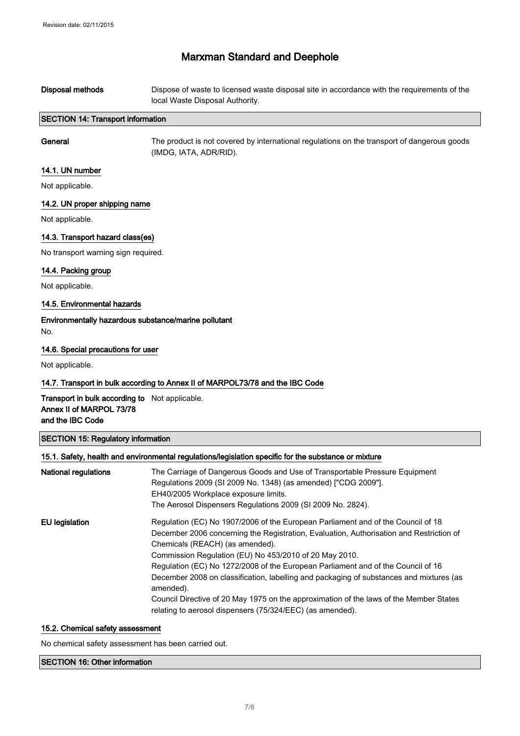| Disposal methods                         | Dispose of waste to licensed waste disposal site in accordance with the requirements of the<br>local Waste Disposal Authority. |
|------------------------------------------|--------------------------------------------------------------------------------------------------------------------------------|
| <b>SECTION 14: Transport information</b> |                                                                                                                                |
| General                                  | The product is not covered by international regulations on the transport of dangerous goods<br>(IMDG, IATA, ADR/RID).          |

### 14.1. UN number

Not applicable.

### 14.2. UN proper shipping name

Not applicable.

### 14.3. Transport hazard class(es)

No transport warning sign required.

### 14.4. Packing group

Not applicable.

### 14.5. Environmental hazards

Environmentally hazardous substance/marine pollutant No.

### 14.6. Special precautions for user

Not applicable.

### 14.7. Transport in bulk according to Annex II of MARPOL73/78 and the IBC Code

Transport in bulk according to Not applicable. Annex II of MARPOL 73/78 and the IBC Code

#### SECTION 15: Regulatory information

### 15.1. Safety, health and environmental regulations/legislation specific for the substance or mixture

| <b>National regulations</b> | The Carriage of Dangerous Goods and Use of Transportable Pressure Equipment<br>Regulations 2009 (SI 2009 No. 1348) (as amended) ["CDG 2009"].<br>EH40/2005 Workplace exposure limits.<br>The Aerosol Dispensers Regulations 2009 (SI 2009 No. 2824).                                                                                                                                                                                                                                                                                                                                                                        |
|-----------------------------|-----------------------------------------------------------------------------------------------------------------------------------------------------------------------------------------------------------------------------------------------------------------------------------------------------------------------------------------------------------------------------------------------------------------------------------------------------------------------------------------------------------------------------------------------------------------------------------------------------------------------------|
| EU legislation              | Regulation (EC) No 1907/2006 of the European Parliament and of the Council of 18<br>December 2006 concerning the Registration, Evaluation, Authorisation and Restriction of<br>Chemicals (REACH) (as amended).<br>Commission Regulation (EU) No 453/2010 of 20 May 2010.<br>Regulation (EC) No 1272/2008 of the European Parliament and of the Council of 16<br>December 2008 on classification, labelling and packaging of substances and mixtures (as<br>amended).<br>Council Directive of 20 May 1975 on the approximation of the laws of the Member States<br>relating to aerosol dispensers (75/324/EEC) (as amended). |

### 15.2. Chemical safety assessment

No chemical safety assessment has been carried out.

#### SECTION 16: Other information